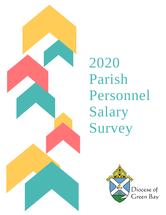

2020 Parish Personnel Salary Survey

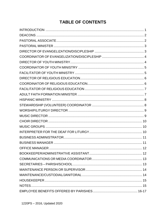# **TABLE OF CONTENTS**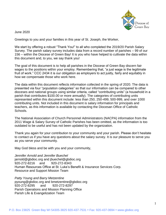

June 2020

Greetings to you and your families in this year of St. Joseph, the Worker,

We start by offering a robust "Thank You!" to all who completed the 2019/20 Parish Salary Survey. The parish salary survey includes data from a record number of parishes – 99 of our 156 – within the Diocese of Green Bay! It is you who have helped to cultivate the data within this document and, to you, we say thank you!

The goal of this document is to help all parishes in the Diocese of Green Bay discern fair wages to the positions within your employ. Remembering that, "a just wage is the legitimate fruit of work." CCC 2434 it is our obligation as employers to act justly, fairly and equitably in how we compensate those who work here.

The data within this document reflects information collected in the spring of 2020. The data is presented via four "population categories" so that our information can be compared to other dioceses and national groups using similar criteria, called "contributing units" (a household in a parish that contributes \$100.00 or more annually). The categories of contributing units represented within this document include: less than 250, 250-499, 500-999, and over 1000 contributing units. Not included in this document is salary information for principals and teachers, as this information is available by contacting the Diocesan Office of Catholic Schools.

The National Association of Church Personnel Administrators (NACPA) information from the 2011 Wage & Salary Survey of Catholic Parishes has been omitted, as the information is too outdated to be useful and has not been updated by the organization.

Thank you again for your contribution to your community and your parish. Please don't hesitate to contact us if you have any questions about the salary survey. It is our pleasure to serve you as you serve your community.

May God bless and be with you and your community,

*Jennifer Arnold and Jennifer Buechel* [jarnold@gbdioc.org](mailto:jarnold@gbdioc.org) and [jbuechel@gbdioc.org](mailto:jbuechel@gbdioc.org) 920-272-8216 and 920-272-8343 Human Resources Office at St. Luke's Benefit & Insurance Services Corp. Resource and Support Mission Team

*Patty Young and Barry Metzentine* [pyoung@gbdioc.org](mailto:pyoung@gbdioc.org) and [bmetzentine@gbdioc.org](mailto:bmetzentine@gbdioc.org) 920-272-8295 and 920-272-8297 Parish Operations and Mission Planning Office Parish Life & Evangelization Team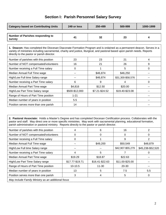## **Section I: Parish Personnel Salary Survey**

| <b>Category based on Contributing Units</b>       | 249 or less | 250-499 | 500-999 | 1000-1999 |
|---------------------------------------------------|-------------|---------|---------|-----------|
|                                                   |             |         |         |           |
| <b>Number of Parishes responding to</b><br>survey | 41          | 32      | 23      |           |
|                                                   |             |         |         |           |

**1. Deacon:** Has completed the Diocesan Diaconate Formation Program and is ordained as a permanent deacon. Serves in a variety of ministries including sacramental, charity and justice, liturgical, and pastoral based upon parish needs. Reports directly to the pastor or parish director.

| Number of parishes with this position | 23             | 23             | 21                |   |
|---------------------------------------|----------------|----------------|-------------------|---|
| Number of NOT compensated/volunteers  | 16             | 21             | 26                | 9 |
| Number receiving a Full Time salary   | O              |                | 5                 | 0 |
| Median Annual Full Time wage          | --             | \$46,874       | \$46,250          |   |
| High/Low Full time Salary range       |                | \$46,874       | \$31,300-\$58,576 |   |
| Number receiving a Part Time salary   | 6              | 9              |                   |   |
| Median Annual Part Time wage          | \$4,816        | \$12.50        | \$20.00           |   |
| High/Low Part Time Salary range       | \$500-\$12,000 | \$7.21-\$24.52 | \$19.40-\$23.08   |   |
| Range of Hours of Part Time position  | $1 - 21$       |                |                   |   |
| Median number of years in position    | 5.5            |                |                   |   |
| Position serves more than one parish  | 14             |                |                   |   |

**2. Pastoral Associate:** Holds a Master's Degree and has completed Diocesan Certification process. Collaborates with the pastor and staff. May direct one or more specific ministries. May work with sacramental planning, educational formation, parish administration or pastoral ministry. Reports directly to the pastor or parish director.

| Number of parishes with this position              |                 | 6               | 16                |                   |
|----------------------------------------------------|-----------------|-----------------|-------------------|-------------------|
| Number of NOT compensated/volunteers               |                 | O               | O                 | 0                 |
| Number receiving a Full Time salary                |                 |                 | 9                 | 2                 |
| Median Annual Full Time wage                       |                 | \$49,200        | \$50,549          | \$48,879          |
| High/Low Full time Salary range                    |                 |                 | \$42,907-\$55,279 | \$45,238-\$52,520 |
| Number receiving a Part Time salary                |                 | 5               |                   |                   |
| Median Annual Part Time wage                       | \$19.29         | \$18.87         | \$22.63           |                   |
| High/Low Part Time Salary range                    | \$17.77-\$19.71 | \$16.41-\$22.63 | \$11.00-\$25.00   |                   |
| Range of Hours of Part Time position               | $10-10.5$       | $11 - 30$       | $20 - 30$         |                   |
| Median number of years in position                 | 13              | 5               | 7.5               | 5.5               |
| Position serves more than one parish               | 3               |                 | 5                 | 0                 |
| May include Family Ministry as an additional focus |                 |                 |                   |                   |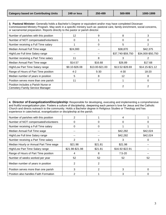| 3. Pastoral Minister: Generally holds a Bachelor's Degree or equivalent and/or may have completed Diocesan<br>Commissioned Ministry Program. May work in a specific ministry such as: pastoral care, family enrichment, social concerns,<br>or sacramental preparation. Reports directly to the pastor or parish director. |                |                 |                   |                   |  |
|----------------------------------------------------------------------------------------------------------------------------------------------------------------------------------------------------------------------------------------------------------------------------------------------------------------------------|----------------|-----------------|-------------------|-------------------|--|
| Number of parishes with this position                                                                                                                                                                                                                                                                                      | 12             | 9               | 8                 | 3                 |  |
| Number of NOT compensated/volunteers                                                                                                                                                                                                                                                                                       | $\Omega$       |                 | 0                 | 0                 |  |
| Number receiving a Full Time salary                                                                                                                                                                                                                                                                                        |                | 0               | 5                 | 2                 |  |
| Median Annual Full Time wage                                                                                                                                                                                                                                                                                               | \$24,000       |                 | \$38,870          | \$42,375          |  |
| High/Low Full time Salary range                                                                                                                                                                                                                                                                                            |                |                 | \$37,740-\$59,750 | \$34,000-\$50,750 |  |
| Number receiving a Part Time salary                                                                                                                                                                                                                                                                                        | 11             | 8               | 3                 | 2                 |  |
| Median Annual Part Time wage                                                                                                                                                                                                                                                                                               | \$14.57        | \$16.68         | \$26.89           | \$17.68           |  |
| High/Low Part Time Salary range                                                                                                                                                                                                                                                                                            | \$9.10-\$26.08 | \$13.00-\$21.00 | \$13.52-\$28.69   | \$14.15-\$21.12   |  |
| Range of Hours of Part Time position                                                                                                                                                                                                                                                                                       | $4 - 2$        | $5 - 30$        | $4 - 30$          | 18-20             |  |
| Median number of years in position                                                                                                                                                                                                                                                                                         | 5              | 8               | 12                | 8                 |  |
| Position serves more than one parish                                                                                                                                                                                                                                                                                       | 11             | 7               |                   | 0                 |  |
| Position includes a Parish Nurse or<br>Cemetery Family Service Manager                                                                                                                                                                                                                                                     |                |                 | 2                 | 2                 |  |

**4. Director of Evangelization/Discipleship:** Responsible for developing, executing and implementing a comprehensive and fruitful evangelization plan. Fosters a culture of discipleship, deepening each person's love for Jesus and the Catholic Church and directs outreach to the community. Holds a Bachelor degree in Religious Studies or Theology and has experience in catechetical, evangelization or discipleship at the parish.

| Number of parishes with this position  |                 |         |                 |          |
|----------------------------------------|-----------------|---------|-----------------|----------|
| Number of NOT compensated/volunteers   | 0               | 0       | O               |          |
| Number receiving a Full Time salary    | 0               | 0       |                 |          |
| Median Annual Full Time wage           |                 |         | \$42,282        | \$42,024 |
| High/Low Full time Salary range        |                 |         | \$42,282        | \$42,024 |
| Number receiving a Part Time salary    | 2               |         | 3               |          |
| Median Hourly or Annual Part Time wage | \$21.98         | \$21.81 | \$21.98         |          |
| High/Low Part Time Salary range        | \$21.98-\$21.98 | \$21.81 | \$16.92-\$22.91 |          |
| Range of Hours of Part Time position   |                 | 8       | $7.5 - 20$      |          |
| Number of weeks worked per year        | 52              | 52      | 52              | 52       |
| Median number of years in position     | 2               | 2       |                 |          |
| Position serves more than one parish   | 3               | 2       | 3               | O        |
| Position also handles Faith Formation  | ⌒               |         | 3               |          |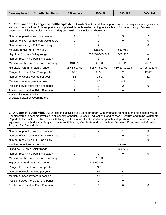**5. Coordinator of Evangelization/Discipleship:** Assists Director and their support staff in ministry with evangelization and discipleship efforts. This support is accomplished through leader training, outreach and formation through Diocesan events and ministries. Holds a Bachelor degree in Religious studies or Theology.

| Number of parishes with this position                        | 4              | 5                 | 3               |                 |
|--------------------------------------------------------------|----------------|-------------------|-----------------|-----------------|
| Number of NOT compensated/volunteers                         | $\Omega$       | 0                 | 0               | O               |
| Number receiving a Full Time salary                          | 0              | 2                 |                 | 0               |
| Median Annual Full Time wage                                 | --             | \$28,972          | \$32,989        |                 |
| High/Low Full time Salary range                              |                | \$18,697-\$39,249 | \$32,989        |                 |
| Number receiving a Part Time salary                          | 4              | 3                 | 2               | 2               |
| Median Hourly or Annual Part Time wage                       | \$18.71        | \$20.30           | \$19.23         | \$17.75         |
| High/Low Part Time Salary range                              | \$8.65-\$23.00 | \$16.64-\$23.00   | \$19.23-\$19.23 | \$17.05-\$18.45 |
| Range of Hours of Part Time position                         | $4 - 16$       | $9 - 24$          | 20              | $12 - 17$       |
| Number of weeks worked per year                              | 52             | 40-52             | 52              | 52              |
| Median number of years in position                           | .5             | 4.5               | 4.5             |                 |
| Position serves more than one parish                         | 3              |                   | 2               | O               |
| Position also handles Faith Formation                        | 2              |                   | 0               |                 |
| Position includes Family<br>Life/Evangelization Coordinators |                | 2                 |                 |                 |

**6. Director of Youth Ministry:** Directs the activities of a youth program, with emphasis on middle and high school youth. Enables youth to become involved in all aspects of parish life, social, educational and service. Recruits and trains volunteers. Reports to the Pastor. Collaborates with Religious Education Director and other parish staff positions. Holds a Masters or equivalent in Youth Ministry. May also have Youth Ministry Certificate and/or completed Diocesan Commissioned Ministry Program for Youth Ministry.

| Number of parishes with this position  | 0  | $\overline{2}$  |          | 0 |
|----------------------------------------|----|-----------------|----------|---|
| Number of NOT compensated/volunteers   | 0  | O               | 0        |   |
| Number receiving a Full Time salary    | 0  |                 |          |   |
| Median Annual Full Time wage           |    |                 | \$30,680 |   |
| High/Low Full time Salary range        | -- | --              | \$30,680 |   |
| Number receiving a Part Time salary    | 0  | 2               | 0        | O |
| Median Hourly or Annual Part Time wage |    | \$15.03         |          |   |
| High/Low Part Time Salary range        |    | \$13.66-\$16.74 |          |   |
| Range of Hours of Part Time position   |    | 8-9.75          |          |   |
| Number of weeks worked per year        | -- | 52              | 42       |   |
| Median number of years in position     | -- | 4.5             |          |   |
| Position serves more than one parish   | -- | 0               | O        |   |
| Position also handles Faith Formation  | 0  | 0               | O        | 0 |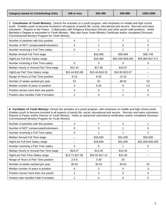**7. Coordinator of Youth Ministry:** Directs the activities of a youth program, with emphasis on middle and high school youth. Enables youth to become involved in all aspects of parish life, social, educational and service. Recruits and trains volunteers. Reports to the Pastor. Collaborates with Religious Education Director and other parish staff positions. Holds Bachelor's Degree or equivalent in Youth Ministry. May also have Youth Ministry Certificate and/or completed Diocesan Commissioned Ministry Program for Youth Ministry

| Number of parishes with this position  |                 |                 |                   |                   |
|----------------------------------------|-----------------|-----------------|-------------------|-------------------|
| Number of NOT compensated/volunteers   | 0               |                 | Ω                 |                   |
| Number receiving a Full Time salary    | 0               |                 | 2                 | 2                 |
| Median Annual Full Time wage           | $-$             | \$18,385        | \$35,646          | \$36,748          |
| High/Low Full time Salary range        |                 | \$18,385        | \$33,293-\$38,000 | \$35,984-\$37,571 |
| Number receiving a Part Time salary    | 5               | 5               | 6                 |                   |
| Median Hourly or Annual Part Time wage | \$15.44         | \$17.80         | \$18.97           |                   |
| High/Low Part Time Salary range        | \$15.44-\$15.88 | \$15.44-\$18.19 | \$16.50-\$23.67   |                   |
| Range of Hours of Part Time position   | $8 - 19$        | $6 - 20$        | $12 - 32$         |                   |
| Number of weeks worked per year        | 52              | 52              | 48-52             | 52                |
| Median number of years in position     | 3               | 5.35            | 8                 | 4.5               |
| Position serves more than one parish   | 4               | 5               |                   | $\Omega$          |
| Position also handles Faith Formation  | 2               | 4               |                   |                   |

**8. Facilitator of Youth Ministry:** Directs the activities of a youth program, with emphasis on middle and high school youth. Enables youth to become involved in all aspects of parish life, social, educational and service. Recruits and trains volunteers. Reports to Pastor and/or Director of Youth Ministry. Holds an advanced catechetical certification and/or completed Diocesan Commissioned Ministry Program for Youth Ministry.

| Number of parishes with this position  | 3               |                 | 3        |                   |
|----------------------------------------|-----------------|-----------------|----------|-------------------|
| Number of NOT compensated/volunteers   | 0               | 0               |          |                   |
| Number receiving a Full Time salary    | 0               |                 |          | 2                 |
| Median Annual Full Time wage           | --              | \$18,694        | \$31,000 | \$33,500          |
| High/Low Full time Salary range        |                 | \$18,694        | \$31,000 | \$32,000-\$35,000 |
| Number receiving a Part Time salary    | 4               | 6               |          |                   |
| Median Hourly or Annual Part Time wage | \$16.57         | \$13.26         | \$15.30  | --                |
| High/Low Part Time Salary range        | \$13.71-\$17.95 | \$10.91-\$17.14 | \$15.30  |                   |
| Range of Hours of Part Time position   | $2.5 - 6$       | $3 - 28$        | 20       |                   |
| Number of weeks worked per year        | $35 - 52$       | $35 - 52$       | 40-52    | 52                |
| Median number of years in position     | 6               | 3               | 4        | .5                |
| Position serves more than one parish   | 2               | 5               | 0        | $\left($          |
| Position also handles Faith Formation  |                 |                 |          |                   |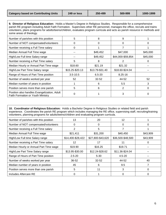**9. Director of Religious Education:** Holds a Master's Degree in Religious Studies. Responsible for a comprehensive parish RE program including Adult Faith Formation. Supervises other RE personnel, manages the office, recruits and trains volunteers, plans programs for adults/teens/children, evaluates program curricula and acts as parish resource in methods and some areas of theology.

| Number of parishes with this position                                            | 5               | 8               | 9                 |          |
|----------------------------------------------------------------------------------|-----------------|-----------------|-------------------|----------|
| Number of NOT compensated/volunteers                                             | 0               | 0               | O                 |          |
| Number receiving a Full Time salary                                              | 0               |                 |                   |          |
| Median Annual Full Time wage                                                     |                 | \$49,452        | \$47,000          | \$45,000 |
| High/Low Full time Salary range                                                  | --              | \$49,452        | \$44,000-\$59,854 | \$45,000 |
| Number receiving a Part Time salary                                              | 5               | 8               | 2                 |          |
| Median Hourly or Annual Part Time wage                                           | \$18.60         | \$21.19         | \$21.32           |          |
| High/Low Part Time Salary range                                                  | \$15.25-\$20.13 | \$13.79-\$31.40 | \$18.60-\$24.04   |          |
| Range of Hours of Part Time position                                             | $3.5 - 10.5$    | $6.5 - 20$      | $8.25 - 16$       |          |
| Number of weeks worked per year                                                  | 52              | $32 - 52$       | 44-52             | 52       |
| Median number of years in position                                               |                 | 6               | 5.5               | З        |
| Position serves more than one parish                                             | 5               | 6               | 2                 | 0        |
| Position also handles Evangelization, Adult<br>Faith Formation or Youth Ministry | 0               |                 | 3                 |          |

**10. Coordinator of Religious Education:** Holds a Bachelor Degree in Religious Studies or related field and parish experience. Coordinates the parish RE program which includes managing the RE office, supervising staff, recruiting/training volunteers, planning programs for adults/teens/children and evaluating program curricula.

| Number of parishes with this position  | 13                | 20                | 12                |          |
|----------------------------------------|-------------------|-------------------|-------------------|----------|
| Number of NOT compensated/volunteers   | 0                 | 0                 | 0                 |          |
| Number receiving a Full Time salary    | 2                 | 5                 |                   |          |
| Median Annual Full Time wage           | \$21,411          | \$31,200          | \$40,450          | \$43,909 |
| High/Low Full time Salary range        | \$14,400-\$28,422 | \$27,800-\$43,620 | \$36,500-\$48,500 | \$43,909 |
| Number receiving a Part Time salary    | 12                | 17                | 11                | $\theta$ |
| Median Hourly or Annual Part Time wage | \$19.90           | \$16.25           | \$19.71           |          |
| High/Low Part Time Salary range        | \$13.95-\$30.00   | \$12.24-\$28.62   | \$11.36-\$24.04   |          |
| Range of Hours of Part Time position   | $2.5 - 20$        | $5 - 30$          | $4.5 - 20$        |          |
| Number of weeks worked per year        | 36-52             | $32 - 52$         | 44-52             | 40       |
| Median number of years in position     | 45                | 6                 | 9.5               |          |
| Position serves more than one parish   | 5                 | 11                | 3                 | O        |
| Includes Aftercare RE                  | 0                 |                   | 0                 |          |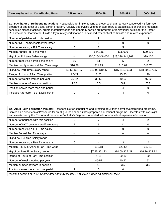**11. Facilitator of Religious Education:** Responsible for implementing and overseeing a narrowly conceived RE formation program or one facet of a total parish program. Usually supervises volunteer staff, recruits catechists, plans/chairs meetings, schedules classes/facilities, orders materials/books and generally carries out program organizational details for the Pastor, RE Director or Coordinator. Holds a lay ministry certification or advanced catechetical certificate and related experience.

| Number of parishes with this position  | 21             | 9                 | 6                 |                 |
|----------------------------------------|----------------|-------------------|-------------------|-----------------|
| Number NOT compensated/volunteer       | 5              | 0                 | 0                 | $\Omega$        |
| Number receiving a Full Time salary    | 0              | 3                 | 5                 |                 |
| Median Annual Full Time wage           |                | \$44,116          | \$35,000          | \$29,120        |
| High/Low Full time Salary range        |                | \$30,625-\$48,000 | \$28,396-\$41,161 | \$29,120        |
| Number receiving a Part Time salary    | 16             | 11                | 5                 |                 |
| Median Hourly or Annual Part Time wage | \$16.36        | \$11.13           | \$15.62           | \$17.78         |
| High/Low Part Time Salary range        | \$8.50-\$24.17 | \$10.00-\$19.47   | \$15.61-\$19.23   | \$18.50-\$17.05 |
| Range of Hours of Part Time position   | $1.5 - 21$     | $2 - 20$          | $15 - 20$         | 20              |
| Number of weeks worked per year        | $25 - 52$      | 38-52             | 40-52             | 45-52           |
| Median number of years in position     | 7.25           | 6.5               | 5.4               | 7.5             |
| Position serves more than one parish   | 8              | 9                 | 4                 | 0               |
| Includes Aftercare RE or Discipleship  | 0              |                   | 4                 | 0               |

**12. Adult Faith Formation Minister:** Responsible for conducting and directing adult faith activities/established programs. Serves as a direct contact/resource for small groups and facilitates prepared educational programs. Operates with oversight and assistance by the Pastor and requires a Bachelor's Degree in a related field or equivalent experience/education.

| Number of parishes with this position                                                        | 2     |                | 4               |                 |  |  |
|----------------------------------------------------------------------------------------------|-------|----------------|-----------------|-----------------|--|--|
| Number of NOT compensated/volunteers                                                         | 2     | 3              | 11              | 0               |  |  |
| Number receiving a Full Time salary                                                          | 0     | 0              | 0               | 0               |  |  |
| Median Annual Full Time wage                                                                 | --    | --             | --              |                 |  |  |
| High/Low Full time Salary range                                                              | --    | --             |                 |                 |  |  |
| Number receiving a Part Time salary                                                          | 0     | 4              | 3               | 2               |  |  |
| Median Hourly or Annual Part Time wage                                                       | $- -$ | \$18.18        | \$23.64         | \$19.19         |  |  |
| High/Low Part Time Salary range                                                              | --    | \$7.25-\$21.23 | \$14.00-\$25.45 | \$16.26-\$22.12 |  |  |
| Range of Hours of Part Time position                                                         | --    | $4 - 15$       | 20-30           | 20              |  |  |
| Number of weeks worked per year                                                              | --    | 45-52          | 40-52           | 52              |  |  |
| Median number of years in position                                                           | $- -$ | 10             | 3.5             | 3.5             |  |  |
| Position serves more than one parish                                                         |       | 0              | 0               |                 |  |  |
| Includes position of RCIA Coordinator and may include Family Ministry as an additional focus |       |                |                 |                 |  |  |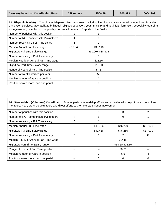**13. Hispanic Ministry:** Coordinates Hispanic Ministry outreach including liturgical and sacramental celebrations. Provides translation services. May facilitate bi-lingual religious education, youth ministry and adult faith formation, especially regarding evangelization, catechesis, discipleship and social outreach. Reports to the Pastor.

| Number of parishes with this position  | 2        | 3                 |  |
|----------------------------------------|----------|-------------------|--|
| Number of NOT compensated/volunteers   |          | 0                 |  |
| Number receiving a Full Time salary    |          | 2                 |  |
| Median Annual Full Time wage           | \$33,046 | \$35,116          |  |
| High/Low Full time Salary range        |          | \$31,907-\$38,324 |  |
| Number receiving a Part Time salary    |          |                   |  |
| Median Hourly or Annual Part Time wage |          | \$13.50           |  |
| High/Low Part Time Salary range        |          | \$13.50           |  |
| Range of Hours of Part Time position   |          | 8.75              |  |
| Number of weeks worked per year        |          | 52                |  |
| Median number of years in position     |          |                   |  |
| Position serves more than one parish   |          | 0                 |  |

| 14. Stewardship (Volunteer) Coordinator: Directs parish stewardship efforts and activities with help of parish committee<br>members. Plan, organize volunteers and direct efforts to promote parishioner involvement |    |          |                 |          |  |
|----------------------------------------------------------------------------------------------------------------------------------------------------------------------------------------------------------------------|----|----------|-----------------|----------|--|
| Number of parishes with this position                                                                                                                                                                                | 3  | 8        | 3               | 2        |  |
| Number of NOT compensated/volunteers                                                                                                                                                                                 | 4  | 8        | 0               |          |  |
| Number receiving a Full Time salary                                                                                                                                                                                  | 0  |          |                 |          |  |
| Median Annual Full Time wage                                                                                                                                                                                         |    | \$42,436 | \$46,260        | \$37,000 |  |
| High/Low Full time Salary range                                                                                                                                                                                      |    | \$42,436 | \$46,260        | \$37,000 |  |
| Number receiving a Part Time salary                                                                                                                                                                                  | 0  | O        | 2               |          |  |
| Median Hourly or Annual Part Time wage                                                                                                                                                                               |    |          | \$14.88         |          |  |
| High/Low Part Time Salary range                                                                                                                                                                                      |    |          | \$14.60-\$15.15 |          |  |
| Range of Hours of Part Time position                                                                                                                                                                                 |    |          | 20-30           |          |  |
| Median number of years in position                                                                                                                                                                                   | -- |          | 6.5             | 4        |  |
| Position serves more than one parish                                                                                                                                                                                 |    | 5        | 0               |          |  |

٦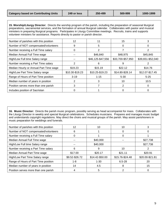**15. Worship/Liturgy Director:** Directs the worship program of the parish, including the preparation of seasonal liturgical preparations, sacramental services, and the formation of annual liturgical calendar. Collaborates with pastor and musical ministers in preparing liturgical programs. Participates in Liturgy Committee meetings. Recruits, trains and supports volunteer ministers for assistance. Reports directly to pastor or parish director.

| Number of parishes with this position  | 12              | 11                | 15                | 3                 |
|----------------------------------------|-----------------|-------------------|-------------------|-------------------|
| Number of NOT compensated/volunteers   | 9               | 5                 | $\Omega$          |                   |
| Number receiving a Full Time salary    | 0               | 2                 |                   |                   |
| Median Annual Full Time wage           |                 | \$46,840          | \$48,975          | \$45,845          |
| High/Low Full time Salary range        |                 | \$46,125-\$47,556 | \$33,700-\$57,950 | \$39,651-\$52,040 |
| Number receiving a Part Time salary    | 2               | 6                 | 9                 |                   |
| Median Hourly or Annual Part Time wage | \$19.23         | \$15.19           | \$22.12           | \$14.76           |
| High/Low Part Time Salary range        | \$10.30-\$19.23 | \$10.25-\$19.23   | \$14.80-\$28.14   | \$12.07-\$17.45   |
| Range of Hours of Part Time position   | $3 - 19$        | $1 - 15$          | $5 - 30$          | $5 - 25$          |
| Median number of years in position     |                 | 3                 | 10                | 10.5              |
| Position serves more than one parish   | 3               |                   | 2                 |                   |
| Includes position of Sacristan         |                 |                   |                   |                   |

**16. Music Director:** Directs the parish music program, possibly serving as head accompanist for mass. Collaborates with the Liturgy Director in weekly and special liturgical celebrations. Schedules musicians. Prepares and manages music budget and understands copyright regulations. May direct the choirs and musical groups of the parish. May assist parishioners in music preparation for weddings and funerals.

| Number of parishes with this position | 12             | 10              | 10              |                 |
|---------------------------------------|----------------|-----------------|-----------------|-----------------|
| Number of NOT compensated/volunteers  | 6              |                 | 0               |                 |
| Number receiving a Full Time salary   | 0              |                 | 0               |                 |
| Median Annual Full Time wage          | $- -$          | \$40,000        | --              | \$27,738        |
| High/Low Full time Salary range       |                | \$40,000        |                 | \$27,738        |
| Number receiving a Part Time salary   | 6              | 9               | 10              |                 |
| Median Annual Part Time wage          | \$17.00        | \$20.17         | \$21.11         | \$20.91         |
| High/Low Part Time Salary range       | \$9.52-\$26.72 | \$14.42-\$50.00 | \$15.76-\$24.48 | \$20.00-\$21.81 |
| Range of Hours of Part Time position  | 1-8            | $1 - 30$        | $6.5 - 28$      | 20              |
| Median number of years in position    | 14             | 4.5             | 8               | 15              |
| Position serves more than one parish  | 4              | 5               |                 |                 |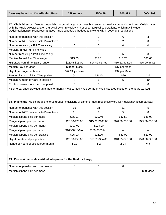I.

**17. Choir Director:** Directs the parish choir/musical groups, possibly serving as lead accompanist for Mass. Collaborates with the Music Director and/or Liturgy Director in weekly and special liturgical celebrations, which may include weddings/funerals. Prepares/manages music schedules, budget, and works within copyright regulations

| Number of parishes with this position                                                                           |                    | 9               | 6               | 3               |  |
|-----------------------------------------------------------------------------------------------------------------|--------------------|-----------------|-----------------|-----------------|--|
| Number of NOT compensated/volunteers                                                                            | 2                  |                 | 2               | O               |  |
| Number receiving a Full Time salary                                                                             | 0                  | 0               | 0               | 0               |  |
| Median Annual Full Time wage                                                                                    |                    |                 |                 |                 |  |
| Number receiving a Part Time salary                                                                             | 5                  | 8               | 5               | 3               |  |
| Median Annual Part Time wage                                                                                    | \$15.00            | \$17.31         | \$15.75         | \$33.65         |  |
| High/Low Part Time Salary range                                                                                 | \$13.46-\$15.00    | \$14.42-\$27.50 | \$10.22-\$24.04 | \$10.00-\$64.67 |  |
| Median Pay per Mass                                                                                             | \$50 per Mass      |                 | \$37 per Mass   |                 |  |
| High/Low range per Mass                                                                                         | \$40-\$60 per Mass |                 | \$37 per Mass   |                 |  |
| Range of Hours of Part Time position                                                                            | $.5 - 1$           | $1.5 - 10$      | $2 - 20$        | $2 - 5$         |  |
| Median number of years in position                                                                              | 4                  | 8               | 5               | 10              |  |
| Position serves more than one parish                                                                            | 0                  | 5               |                 | 0               |  |
| * Some parishes provided an annual or monthly wage, thus wage per hour was calculated based on the hours worked |                    |                 |                 |                 |  |

| 18. Musicians Music groups, chorus groups, musicians or cantors (most responses were for musicians/accompanists) |                 |                  |                 |                 |  |
|------------------------------------------------------------------------------------------------------------------|-----------------|------------------|-----------------|-----------------|--|
| Number of parishes with this position                                                                            | 35              | 31               | 21              | 5               |  |
| Number of NOT compensated/volunteers                                                                             | 11              | 6                | 5               | 0               |  |
| Median stipend paid per mass                                                                                     | \$35.91         | \$39.40          | \$37.50         | \$45.00         |  |
| Range stipend paid per mass                                                                                      | \$20.00-\$75.00 | \$15.00-\$100.00 | \$20.00-\$57.00 | \$25.00-\$50.00 |  |
| Median stipend paid per month                                                                                    | \$100.00        | \$128.00         |                 |                 |  |
| Range stipend paid per month                                                                                     | \$100-\$216/Mo. | \$100-\$563/Mo.  | $- -$           | $- -$           |  |
| Median stipend paid per practice                                                                                 | \$25.00         | \$25.00          | \$30.00         | \$20.00         |  |
| High/Low stipend per practice                                                                                    | \$25.00-\$50.00 | \$15.73-\$64.00  | \$18.25-\$75.00 | \$20.00-\$25.00 |  |
| Range of Hours of position/per month                                                                             | $1 - 12$        | $1 - 2$          | $2 - 24$        | $6 - 8$         |  |

| 19. Professional state certified Interpreter for the Deaf for liturgy |  |  |  |           |  |
|-----------------------------------------------------------------------|--|--|--|-----------|--|
| Number of parishes with this position                                 |  |  |  |           |  |
| Median stipend paid per mass                                          |  |  |  | \$60/Mass |  |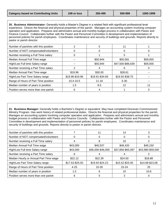**20. Business Administrator:** Generally holds a Master's Degree in a related field with significant professional level experience. Directs the financial and physical properties of the parish. Manages an accounting system involving computer operation and application. Prepares and administers annual and monthly budget process in collaboration with Pastor and Finance Council. Collaborates further with the Pastor and Personnel Committee in development and implementation of personnel policies for parish employees. Coordinates maintenance and security of buildings and grounds. Reports directly to pastor or parish director.

| Number of parishes with this position |                 | 5               |                   |          |
|---------------------------------------|-----------------|-----------------|-------------------|----------|
| Number of NOT compensated/volunteers  | O               | $\Omega$        |                   |          |
| Number receiving a Full Time salary   | 0               |                 | 5                 |          |
| Median Annual Full Time wage          |                 | \$50,944        | \$50,581          | \$59,000 |
| High/Low Full time Salary range       |                 | \$50,944        | \$47,500-\$86,639 | \$59,000 |
| Number receiving a Part Time salary   | 2               | 4               | 6                 |          |
| Median Annual Part Time wage          | \$19.96         | \$30.00         | \$28.61           |          |
| High/Low Part Time Salary range       | \$19.96-\$19.96 | \$19.91-\$34.69 | \$19.92-\$38.75   |          |
| Range of Hours of Part Time position  | 10.4-10.5       | $11 - 16$       | $5 - 30$          |          |
| Median number of years in position    | 1.5             | 8.5             | 12                | 11       |
| Position serves more than one parish  | 6               |                 |                   |          |

**21. Business Manager:** Generally holds a Bachelor's Degree or equivalent. May have completed Diocesan Commissioned Ministry Program. Has work history of related professional duties. Directs the financial and physical properties for the parish. Manages an accounting system involving computer operation and application. Prepares and administers annual and monthly budget process in collaboration with Pastor and Finance Councils. Collaborates further with the Pastor and Personnel Committee in development and implementation of personnel policies for parish employees. Coordinates maintenance and security of buildings and grounds. Reports directly to pastor or parish director.

| Number of parishes with this position  |                 | 11                | 14                |                   |
|----------------------------------------|-----------------|-------------------|-------------------|-------------------|
| Number of NOT compensated/volunteers   |                 |                   | 0                 |                   |
| Number receiving a Full Time salary    | 4               | 8                 | 10                | 2                 |
| Median Annual Full Time wage           | \$43,000        | \$40,537          | \$46,420          | \$49,150          |
| High/Low Full time Salary range        | \$43,000        | \$36,000-\$46,000 | \$37,856-\$65,097 | \$43,980-\$59,000 |
| Number receiving a Part Time salary    | 6               |                   |                   |                   |
| Median Hourly or Annual Part Time wage | \$22.12         | \$22.39           | \$24.50           | \$18.88           |
| High/Low Part Time Salary range        | \$17.53-\$25.00 | \$19.92-\$24.23   | \$15.52-\$25.00   | \$14.68-\$23.08   |
| Range of Hours of Part Time position   | $4 - 25$        | $10 - 35$         | $15 - 24$         | 25                |
| Median number of years in position     | 1.5             | 6                 | 10                | 10.6              |
| Position serves more than one parish   | 6               | 5                 | 3                 | 0                 |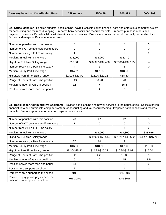**22. Office Manager:** Handles budgets, bookkeeping, payroll, collects parish financial data and enters into computer system for accounting and tax record keeping. Prepares bank deposits and records receipts. Prepares purchase orders and payment of invoices. Provides Administrative Assistance services. Does some duties that would normally be handled by a Business Manager or Business Administrator.

| Number of parishes with this position | 5               | 9                 |                   |   |
|---------------------------------------|-----------------|-------------------|-------------------|---|
| Number of NOT compensated/volunteers  | O               | $\Omega$          |                   |   |
| Number receiving a Full Time salary   |                 |                   |                   |   |
| Median Annual Full Time wage          | \$18,000        | \$33,250          | \$38,470          |   |
| High/Low Full time Salary range       | \$18,000        | \$28,997-\$39,456 | \$37,814-\$39,125 |   |
| Number receiving a Part Time salary   | 4               |                   |                   | O |
| Median Hourly Part Time wage          | \$14.71         | \$17.63           | \$18.50           |   |
| High/Low Part Time Salary range       | \$14.25-\$20.00 | \$15.00-\$20.26   | \$18.50           |   |
| Range of Hours of Part Time position  | $2 - 24$        | $18 - 20$         | 28                |   |
| Median number of years in position    | 1.5             |                   | 15.5              |   |
| Position serves more than one parish  | 3               |                   | .5                |   |

**23. Bookkeeper/Administrative Assistant:** Provides bookkeeping and payroll services to the parish office. Collects parish financial data and enters into computer system for accounting and tax record keeping. Prepares bank deposits and records receipts. Prepares purchase orders and payment of invoices.

| Number of parishes with this position                                     | 28             | 17                | $12 \overline{ }$ | 3                 |
|---------------------------------------------------------------------------|----------------|-------------------|-------------------|-------------------|
| Number of NOT compensated/volunteers                                      |                | 0                 |                   | 0                 |
| Number receiving a Full Time salary                                       | 0              | 3                 |                   | 2                 |
| Median Annual Full Time wage                                              |                | \$33,696          | \$39,300          | \$38,615          |
| High/Low Full time Salary range                                           | --             | \$29,920-\$50,544 | \$31,217-\$46,592 | \$31,470-\$45,760 |
| Number receiving a Part Time salary                                       | 27             | 14                |                   |                   |
| Median Hourly Part Time wage                                              | \$16.00        | \$18.20           | \$17.90           | \$15.00           |
| High/Low Part Time Salary range                                           | \$9.30-\$25.41 | \$14.33-\$25.32   | \$16.30-\$19.02   | \$15.00           |
| Range of Hours of Part Time position                                      | $2 - 28$       | $4 - 25$          | $7.5 - 32$        | 5                 |
| Median number of years in position                                        | 6              | 6                 | 15                | 8.5               |
| Position serves more than one parish                                      | 13             | 9                 | 2                 | 0                 |
| Position also supports a school                                           | 2              |                   | 4                 |                   |
| Percent of time supporting the school                                     | 40%            |                   | 20%-60%           |                   |
| Percent of pay parish pays where the<br>position also supports the school | 40%-100%       |                   | 40%-80%           |                   |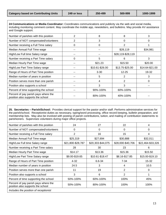$\overline{1}$ 

| 24 Communications or Media Coordinator: Coordinates communications and publicity via the web and social media,<br>including monitoring comment content. May coordinate the mobile app, newsletters, and bulletins. May provide AV assistance<br>and Google support. |                |                 |                   |                 |  |  |  |  |  |
|---------------------------------------------------------------------------------------------------------------------------------------------------------------------------------------------------------------------------------------------------------------------|----------------|-----------------|-------------------|-----------------|--|--|--|--|--|
| Number of parishes with this position                                                                                                                                                                                                                               | $\overline{2}$ | 8               | 8                 | 3               |  |  |  |  |  |
| Number of NOT compensated/volunteers                                                                                                                                                                                                                                | $\overline{2}$ | 3               | $\Omega$          | 0               |  |  |  |  |  |
| Number receiving a Full Time salary                                                                                                                                                                                                                                 | 0              | 0               | 2                 |                 |  |  |  |  |  |
| Median Annual Full Time wage                                                                                                                                                                                                                                        | --             | --              | \$28,119          | \$34,981        |  |  |  |  |  |
| High/Low Full time Salary range                                                                                                                                                                                                                                     |                |                 | \$28,119-\$28,119 |                 |  |  |  |  |  |
| Number receiving a Part Time salary                                                                                                                                                                                                                                 | 0              | 5               | 6                 | 3               |  |  |  |  |  |
| Median Hourly Part Time wage                                                                                                                                                                                                                                        | --             | \$21.23         | \$15.50           | \$20.00         |  |  |  |  |  |
| High/Low Part Time Salary range                                                                                                                                                                                                                                     | --             | \$10.61-\$26.00 | \$13.75-\$25.00   | \$14.64-\$21.00 |  |  |  |  |  |
| Range of Hours of Part Time position                                                                                                                                                                                                                                | --             | $3 - 30$        | $12 - 25$         | 19-32           |  |  |  |  |  |
| Median number of years in position                                                                                                                                                                                                                                  |                | 5               | 2                 | 3               |  |  |  |  |  |
| Position serves more than one parish                                                                                                                                                                                                                                | --             | 4               | 2                 | 0               |  |  |  |  |  |
| Position also supports a school                                                                                                                                                                                                                                     | --             | 3               | 3                 |                 |  |  |  |  |  |
| Percent of time supporting the school                                                                                                                                                                                                                               |                | 90%-100%        | 60%-100%          |                 |  |  |  |  |  |
| Percent of pay parish pays where the<br>position also supports the school                                                                                                                                                                                           |                | 80%-100%        | 40%-100%          |                 |  |  |  |  |  |

**25. Secretaries – Parish/School:** Provides clerical support for the pastor and/or staff. Performs administrative services for the parish/school. Receptionist duties as necessary, typing/word processing, office record keeping, bulletin preparation, and membership lists. May also be involved with posting of parish contributions, tuition, and mailing of contribution statements to parishioners. Supervises volunteers during major office projects.

| Number of parishes with this position                                     | 24                | 27                | 22                | 4                 |
|---------------------------------------------------------------------------|-------------------|-------------------|-------------------|-------------------|
| Number of NOT compensated/volunteers                                      | 0                 | $\Omega$          | 0                 | $\Omega$          |
| Number receiving a Full Time salary                                       | 2                 | 16                | 15                | 4                 |
| Median Annual Full Time wage                                              | \$25,319          | \$27,694          | \$30,888          | \$32,011          |
| High/Low Full time Salary range                                           | \$21,800-\$28,787 | \$20,303-\$44,075 | \$28,000-\$40,706 | \$22,464-\$33,326 |
| Number receiving a Part Time salary                                       | 28                | 30                | 23                | 6                 |
| Median Hourly Part Time wage                                              | \$14.17           | \$13.36           | \$15.36           | \$15.50           |
| High/Low Part Time Salary range                                           | \$9.00-\$19.65    | \$10.61-\$18.47   | \$8.16-\$17.85    | \$15.00-\$19.10   |
| Range of Hours of Part Time position                                      | $4 - 32$          | $6.6 - 34$        | $7 - 34$          | $15 - 32$         |
| Median number of years in position                                        | 24.5              | 3                 | 4                 | 10.5              |
| Position serves more than one parish                                      | 11                | 19                | 2                 | 0                 |
| Position also supports a school                                           | 3                 | 6                 | 2                 |                   |
| Percent of time supporting the school                                     | 50%-100%          | 60%-100%          | 100%              | 45%               |
| Percent of pay parish pays where the<br>position also supports the school | 50%-100%          | 80%-100%          | 100%              | 100%              |
| Includes the position of receptionist                                     |                   |                   |                   |                   |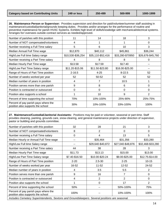**26. Maintenance Person or Supervisor:** Provides supervision and direction for paid/volunteer/summer staff assisting in maintenance/custodial/janitorial/grounds keeping duties. Provides and/or arranges for the performance of routine and preventive maintenance for parish HVAC Systems. Exhibits high level of skills/knowledge with mechanical/electrical systems. Arranges for/ oversees outside contract services as needed/approved.

| Number of parishes with this position                                     | 11                | 14                | 18               | 3                 |
|---------------------------------------------------------------------------|-------------------|-------------------|------------------|-------------------|
| Number of NOT compensated/volunteers                                      | 4                 |                   |                  | 0                 |
| Number receiving a Full Time salary                                       | 5                 | 6                 | 10               | 3                 |
| Median Annual Full Time wage                                              | \$12,870          | \$40,112          | \$45,861         | \$36,244          |
| High/Low Full time Salary range                                           | \$10,530-\$36,254 | \$35,110-\$52,416 | \$33,280-\$70950 | \$26,676-\$45,760 |
| Number receiving a Part Time salary                                       | 4                 | 8                 | 8                | 0                 |
| Median Hourly Part Time wage                                              | \$13.58           | \$17.59           | \$17.40          |                   |
| High/Low Part Time Salary range                                           | \$11.20-\$15.06   | \$11.50-\$23.80   | \$16.00-\$25.00  |                   |
| Range of Hours of Part Time position                                      | $2 - 16.5$        | $4 - 25$          | $8 - 22.5$       | 52                |
| Number of weeks worked per year                                           | 52                | 50-52             | 52               | 52                |
| Median number of years in position                                        | 4                 | 7                 | 10.5             |                   |
| Position serves more than one parish                                      | 9                 | 8                 | 6                | 0                 |
| Position is contracted or outsourced                                      | 0                 | 0                 | $\Omega$         | 0                 |
| Position also supports a school                                           |                   | 10 <sup>1</sup>   | 9                | 2                 |
| Percent of time supporting the school                                     | 70%               | 10%-100%          | 25%-90%          | 25%-75%           |
| Percent of pay parish pays where the<br>position also supports the school | 30%               | 10%-100%          | 33%-100%         | 100%              |

**27. Maintenance/Custodial/Janitorial Assistants:** Positions may be paid or volunteer, seasonal or part-time. Staff provides cleaning, painting, grounds care, snow-clearing, and general maintenance projects under direction of supervisor, pastor or building and grounds committee.

| Number of parishes with this position                                                          | 32             | 28                | 21                | 3                 |
|------------------------------------------------------------------------------------------------|----------------|-------------------|-------------------|-------------------|
| Number of NOT compensated/volunteers                                                           | 8              | 2                 | 0                 | 0                 |
| Number receiving a Full Time salary                                                            | 0              | 4                 | 13                | 5                 |
| Median Hourly or Annual Full Time wage                                                         | --             | \$35,464          | \$31,356          | \$33,280          |
| High/Low Full time Salary range                                                                | --             | \$29,640-\$40,872 | \$27,040-\$48,876 | \$32,468-\$33,280 |
| Number receiving a Part Time salary                                                            | 44             | 38                | 28                | 3                 |
| Median Hourly Part Time wage                                                                   | \$11.73        | \$13.13           | \$15.00           | \$13.00           |
| High/Low Part Time Salary range                                                                | \$7.40-\$16.50 | \$10.00-\$20.24   | \$9.00-\$25.00    | \$12.75-\$14.00   |
| Range of Hours of Part Time position                                                           | $2 - 20$       | $2.5 - 30$        | $2 - 25$          | $10 - 15$         |
| Number of weeks worked per year                                                                | 16-52          | $11 - 52$         | 12-52             | 24-52             |
| Median number of years in position                                                             | 4              | 3.5               | 5.5               | 2                 |
| Position serves more than one parish                                                           | 9              | 16                |                   | 0                 |
| Position is contracted or outsourced                                                           | 4              | 2                 | 2                 | $\Omega$          |
| Position also supports the school                                                              |                | 0                 | 17                | 2                 |
| Percent of time supporting the school                                                          | 50%            | --                | 50%-100%          | 75%               |
| Percent of pay parish pays where the<br>position also supports the school                      | 100%           |                   | 10%-100%          | 100%              |
| Includes Cemetery Superintendents, Sextons and Groundskeepers. Several positions are seasonal. |                |                   |                   |                   |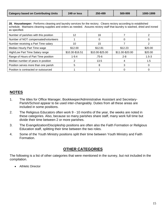**28. Housekeeper:** Performs cleaning and laundry services for the rectory. Cleans rectory according to established schedule. Maintains cleaning supplies and orders as needed. Assures rectory staff that laundry is washed, dried and ironed as specified.

| Number of parishes with this position | 12              | 16              |                 |           |
|---------------------------------------|-----------------|-----------------|-----------------|-----------|
| Number of NOT compensated/volunteers  |                 |                 |                 |           |
| Number receiving a Part Time salary   | 10              | 15              |                 |           |
| Median Hourly Part Time wage          | \$12.00         | \$12.81         | \$12.23         | \$20.00   |
| High/Low Part Time Salary range       | \$10.30-\$16.51 | \$10.00-\$25.00 | \$11.00-\$20.00 | \$20.00   |
| Range of Hours of Part Time position  | $1 - 9.4$       | $.75 - 6$       | $2 - 8$         | $1.5 - 3$ |
| Median number of years in position    |                 | 13.5            |                 | 1.5       |
| Position serves more than one parish  | h               |                 |                 |           |
| Position is contracted or outsourced  |                 |                 |                 |           |

#### **NOTES**

- 1. The titles for Office Manager, Bookkeeper/Administrative Assistant and Secretary-Parish/School appear to be used inter-changeably. Duties from all these areas are included in some positions.
- 2. The Religious Educators often work 9 10 months of the year, the weeks are noted in these categories. Also, because so many parishes share staff, many work full time but divide their time between 2 or more parishes.
- 3. The Evangelization/Discipleship positions are often also the Faith Formation or Religious Education staff, splitting their time between the two roles.
- 4. Some of the Youth Ministry positions split their time between Youth Ministry and Faith Formation.

# **OTHER CATEGORIES**

The following is a list of other categories that were mentioned in the survey, but not included in the compilation.

Athletic Director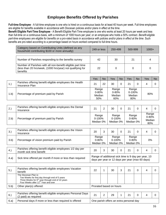### **Employee Benefits Offered by Parishes**

**Full-time Employee** - A full-time employee is one who is hired on a continuous basis for at least 40 hours per week. Full-time employees are eligible for benefits available in accordance with Diocesan policies and/or plans in effect at the time.

**Benefit Eligible Part-Time Employee** - A Benefit-Eligible Part-Time employee is one who works at least 20 hours per week and less than full-time on a continuous basis, with a minimum of 1000 hours per year; or an employee who holds a 50% contract. *Benefit-eligible*  part-time employees are eligible for benefits on a pro-rated basis in accordance with policies and/or plans in effect at the time. Such benefits are pro-rated according to a percentage based on hours worked compared to full-time hours.

| Category based on Contributing Units (defined as any<br>household contributing \$100 or more annually)                               | 249 or less | 250-499 | 500-999 | $1000+$ |
|--------------------------------------------------------------------------------------------------------------------------------------|-------------|---------|---------|---------|
|                                                                                                                                      |             |         |         |         |
| Number of Parishes responding to the benefits survey                                                                                 | 42          | 30      |         |         |
| Number of Parishes with all non-benefit eligible part time<br>(less than 20 hrs/week, (1000 hrs/year) not qualifying for<br>benefits | 22          | O       |         |         |

|      |                                                                           | Yes                                 | No | Yes                                 | <b>No</b> | Yes                                   | No | Yes | <b>No</b> |
|------|---------------------------------------------------------------------------|-------------------------------------|----|-------------------------------------|-----------|---------------------------------------|----|-----|-----------|
| 1.)  | Parishes offering benefit eligible employees the Health<br>Insurance Plan | 21                                  | 22 | 30                                  | 0         | 21                                    |    |     |           |
| 1.b) | Percentage of premium paid by Parish                                      | Range<br>$0 - 80%$<br>Median<br>50% |    | Range<br>$0 - 80%$<br>Median<br>60% |           | Range<br>$0 - 100\%$<br>Median<br>80% |    | 80% |           |

| 2.   | Parishes offering benefit eligible employees the Dental<br>Insurance | 21                               | ົ | 30                               | 21                          |                                     |  |
|------|----------------------------------------------------------------------|----------------------------------|---|----------------------------------|-----------------------------|-------------------------------------|--|
| 2.b) | Percentage of premium paid by Parish                                 | Range<br>$0 - 100%$<br>Median 0% |   | Range<br>$0 - 100%$<br>Median 0% | Range<br>0-80%<br>Median 0% | Range<br>$0 - 80%$<br>Median<br>80% |  |

| 3.)  | Parishes offering benefit eligible employees the Vision<br>Insurance | 20                                                                                                     | 3 | 30                                | 0 | 21                              | 0 |       |  |
|------|----------------------------------------------------------------------|--------------------------------------------------------------------------------------------------------|---|-----------------------------------|---|---------------------------------|---|-------|--|
| 3.b) | Percentage of vision premium paid by Parish                          | Range<br>$0 - 80%$<br>Median 0%                                                                        |   | Range<br>$0 - 100\%$<br>Median 0% |   | Range<br>$0 - 80%$<br>Median 0% |   | $0\%$ |  |
|      | Parishes offering benefit eligible employees 1/2 day per             |                                                                                                        |   |                                   |   |                                 |   |       |  |
| 4.   | month sick time benefit                                              | 20                                                                                                     | 3 | 30                                | 0 | 21                              | 0 |       |  |
| 4.a) | Sick time offered per month if more or less than required            | Range of additional sick time is 9 day per year, 10<br>days per year or 12 days per year (max 60 days) |   |                                   |   |                                 |   |       |  |

| 5.   | Parishes offering benefit eligible employees Vacation<br>benefit                                                                                                                           | 22                      |  | 30 | 3 | 21 |   |  |  |
|------|--------------------------------------------------------------------------------------------------------------------------------------------------------------------------------------------|-------------------------|--|----|---|----|---|--|--|
|      | The Diocesan Plan is:<br>Two Weeks for first day through end of 5 years<br>Three Weeks for 6 <sup>th</sup> year through end of 10 years<br>Four Weeks after 11 <sup>th</sup> Year and over |                         |  |    |   |    |   |  |  |
| 5.b) | Other plan(s) offered:                                                                                                                                                                     | Prorated based on hours |  |    |   |    |   |  |  |
|      |                                                                                                                                                                                            |                         |  |    |   |    |   |  |  |
| 6.   | Parishes offering benefit eligible employees Personal Days<br>(2 paid) as required                                                                                                         | 21                      |  | 29 |   | 21 | 0 |  |  |
|      |                                                                                                                                                                                            |                         |  |    |   |    |   |  |  |

6.a) Personal days if more or less than required is offered | One parish offers an extra personal day